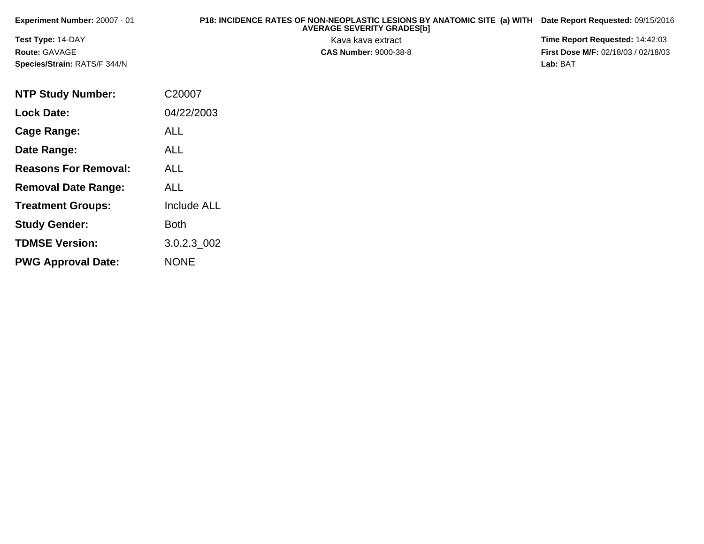| <b>Experiment Number: 20007 - 01</b> | P18: INCIDENCE RATES OF NON-NEOPLASTIC LESIONS BY ANATOMIC SITE (a) WITH Date Report Requested: 09/15/2016<br><b>AVERAGE SEVERITY GRADES[b]</b> |                                            |
|--------------------------------------|-------------------------------------------------------------------------------------------------------------------------------------------------|--------------------------------------------|
| <b>Test Type: 14-DAY</b>             | Kava kava extract                                                                                                                               | Time Report Requested: 14:42:03            |
| <b>Route: GAVAGE</b>                 | <b>CAS Number: 9000-38-8</b>                                                                                                                    | <b>First Dose M/F: 02/18/03 / 02/18/03</b> |
| Species/Strain: RATS/F 344/N         |                                                                                                                                                 | Lab: BAT                                   |

| <b>NTP Study Number:</b>    | C20007             |
|-----------------------------|--------------------|
| <b>Lock Date:</b>           | 04/22/2003         |
| Cage Range:                 | <b>ALL</b>         |
| Date Range:                 | ALL                |
| <b>Reasons For Removal:</b> | <b>ALL</b>         |
| <b>Removal Date Range:</b>  | ALL                |
| <b>Treatment Groups:</b>    | <b>Include ALL</b> |
| <b>Study Gender:</b>        | Both               |
| <b>TDMSE Version:</b>       | 3.0.2.3 002        |
| <b>PWG Approval Date:</b>   | <b>NONE</b>        |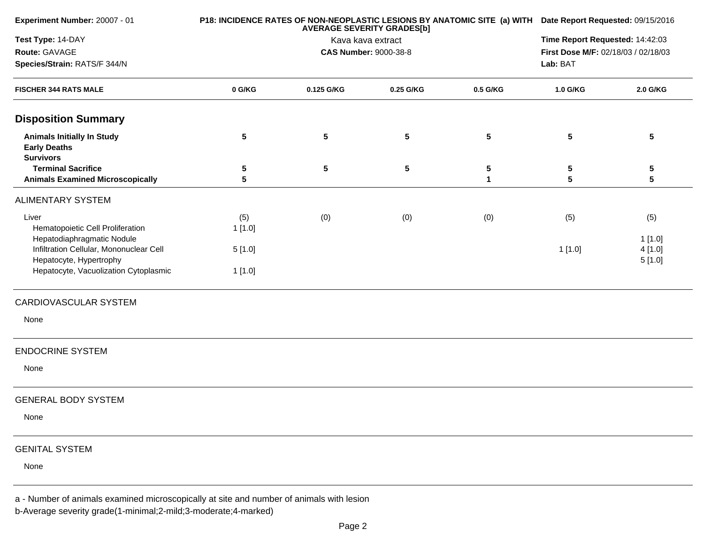| Experiment Number: 20007 - 01                                                            |        | P18: INCIDENCE RATES OF NON-NEOPLASTIC LESIONS BY ANATOMIC SITE (a) WITH Date Report Requested: 09/15/2016 |                                                        |                            |                                     |                  |  |
|------------------------------------------------------------------------------------------|--------|------------------------------------------------------------------------------------------------------------|--------------------------------------------------------|----------------------------|-------------------------------------|------------------|--|
| Test Type: 14-DAY                                                                        |        |                                                                                                            | <b>AVERAGE SEVERITY GRADES[b]</b><br>Kava kava extract |                            | Time Report Requested: 14:42:03     |                  |  |
| Route: GAVAGE                                                                            |        |                                                                                                            | <b>CAS Number: 9000-38-8</b>                           |                            | First Dose M/F: 02/18/03 / 02/18/03 |                  |  |
| Species/Strain: RATS/F 344/N                                                             |        |                                                                                                            |                                                        |                            | Lab: BAT                            |                  |  |
| <b>FISCHER 344 RATS MALE</b>                                                             | 0 G/KG | 0.125 G/KG                                                                                                 | 0.25 G/KG                                              | 0.5 G/KG                   | 1.0 G/KG                            | 2.0 G/KG         |  |
| <b>Disposition Summary</b>                                                               |        |                                                                                                            |                                                        |                            |                                     |                  |  |
| <b>Animals Initially In Study</b><br><b>Early Deaths</b><br><b>Survivors</b>             | 5      | $5\phantom{.0}$                                                                                            | 5                                                      | $5\phantom{.0}$            | 5                                   | 5                |  |
| <b>Terminal Sacrifice</b><br><b>Animals Examined Microscopically</b>                     | 5<br>5 | $5\phantom{.0}$                                                                                            | 5                                                      | $\sqrt{5}$<br>$\mathbf{1}$ | 5<br>5                              | 5<br>5           |  |
| <b>ALIMENTARY SYSTEM</b>                                                                 |        |                                                                                                            |                                                        |                            |                                     |                  |  |
| Liver                                                                                    | (5)    | (0)                                                                                                        | (0)                                                    | (0)                        | (5)                                 | (5)              |  |
| Hematopoietic Cell Proliferation<br>Hepatodiaphragmatic Nodule                           | 1[1.0] |                                                                                                            |                                                        |                            |                                     | 1[1.0]           |  |
| Infiltration Cellular, Mononuclear Cell<br>Hepatocyte, Hypertrophy                       | 5[1.0] |                                                                                                            |                                                        |                            | 1[1.0]                              | 4[1.0]<br>5[1.0] |  |
| Hepatocyte, Vacuolization Cytoplasmic                                                    | 1[1.0] |                                                                                                            |                                                        |                            |                                     |                  |  |
| CARDIOVASCULAR SYSTEM                                                                    |        |                                                                                                            |                                                        |                            |                                     |                  |  |
| None                                                                                     |        |                                                                                                            |                                                        |                            |                                     |                  |  |
| <b>ENDOCRINE SYSTEM</b>                                                                  |        |                                                                                                            |                                                        |                            |                                     |                  |  |
| None                                                                                     |        |                                                                                                            |                                                        |                            |                                     |                  |  |
| <b>GENERAL BODY SYSTEM</b>                                                               |        |                                                                                                            |                                                        |                            |                                     |                  |  |
| None                                                                                     |        |                                                                                                            |                                                        |                            |                                     |                  |  |
| <b>GENITAL SYSTEM</b>                                                                    |        |                                                                                                            |                                                        |                            |                                     |                  |  |
| None                                                                                     |        |                                                                                                            |                                                        |                            |                                     |                  |  |
| a - Number of animals examined microscopically at site and number of animals with lesion |        |                                                                                                            |                                                        |                            |                                     |                  |  |

b-Average severity grade(1-minimal;2-mild;3-moderate;4-marked)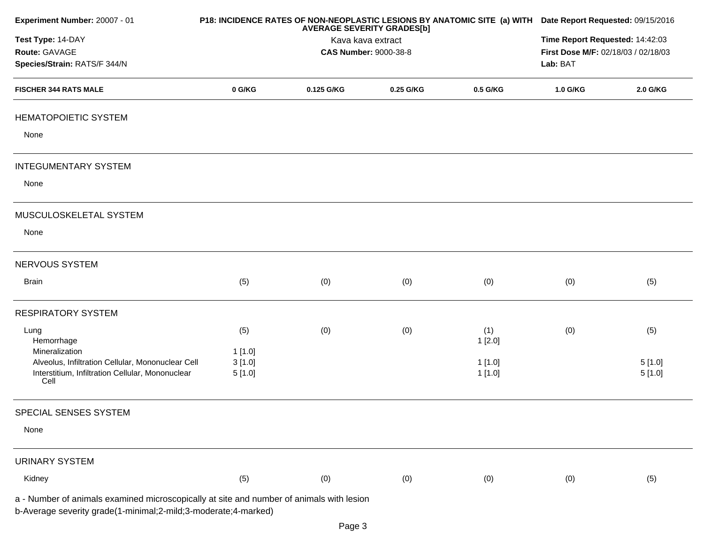| Experiment Number: 20007 - 01                                                            |        | <b>AVERAGE SEVERITY GRADES[b]</b> | P18: INCIDENCE RATES OF NON-NEOPLASTIC LESIONS BY ANATOMIC SITE (a) WITH Date Report Requested: 09/15/2016 |          |                                     |          |
|------------------------------------------------------------------------------------------|--------|-----------------------------------|------------------------------------------------------------------------------------------------------------|----------|-------------------------------------|----------|
| Test Type: 14-DAY                                                                        |        | Kava kava extract                 | Time Report Requested: 14:42:03                                                                            |          |                                     |          |
| Route: GAVAGE                                                                            |        |                                   | <b>CAS Number: 9000-38-8</b>                                                                               |          | First Dose M/F: 02/18/03 / 02/18/03 |          |
| Species/Strain: RATS/F 344/N                                                             |        |                                   |                                                                                                            |          | Lab: BAT                            |          |
| <b>FISCHER 344 RATS MALE</b>                                                             | 0 G/KG | 0.125 G/KG                        | 0.25 G/KG                                                                                                  | 0.5 G/KG | 1.0 G/KG                            | 2.0 G/KG |
| <b>HEMATOPOIETIC SYSTEM</b>                                                              |        |                                   |                                                                                                            |          |                                     |          |
| None                                                                                     |        |                                   |                                                                                                            |          |                                     |          |
| <b>INTEGUMENTARY SYSTEM</b>                                                              |        |                                   |                                                                                                            |          |                                     |          |
| None                                                                                     |        |                                   |                                                                                                            |          |                                     |          |
| MUSCULOSKELETAL SYSTEM                                                                   |        |                                   |                                                                                                            |          |                                     |          |
| None                                                                                     |        |                                   |                                                                                                            |          |                                     |          |
| NERVOUS SYSTEM                                                                           |        |                                   |                                                                                                            |          |                                     |          |
| Brain                                                                                    | (5)    | (0)                               | (0)                                                                                                        | (0)      | (0)                                 | (5)      |
| <b>RESPIRATORY SYSTEM</b>                                                                |        |                                   |                                                                                                            |          |                                     |          |
| Lung                                                                                     | (5)    | (0)                               | (0)                                                                                                        | (1)      | (0)                                 | (5)      |
| Hemorrhage                                                                               |        |                                   |                                                                                                            | 1[2.0]   |                                     |          |
| Mineralization                                                                           | 1[1.0] |                                   |                                                                                                            |          |                                     |          |
| Alveolus, Infiltration Cellular, Mononuclear Cell                                        | 3[1.0] |                                   |                                                                                                            | 1 [1.0]  |                                     | 5[1.0]   |
| Interstitium, Infiltration Cellular, Mononuclear<br>Cell                                 | 5[1.0] |                                   |                                                                                                            | 1[1.0]   |                                     | 5[1.0]   |
| SPECIAL SENSES SYSTEM                                                                    |        |                                   |                                                                                                            |          |                                     |          |
| None                                                                                     |        |                                   |                                                                                                            |          |                                     |          |
| <b>URINARY SYSTEM</b>                                                                    |        |                                   |                                                                                                            |          |                                     |          |
| Kidney                                                                                   | (5)    | (0)                               | (0)                                                                                                        | (0)      | (0)                                 | (5)      |
| a - Number of animals examined microscopically at site and number of animals with lesion |        |                                   |                                                                                                            |          |                                     |          |
| b-Average severity grade(1-minimal;2-mild;3-moderate;4-marked)                           |        |                                   |                                                                                                            |          |                                     |          |
|                                                                                          |        |                                   |                                                                                                            |          |                                     |          |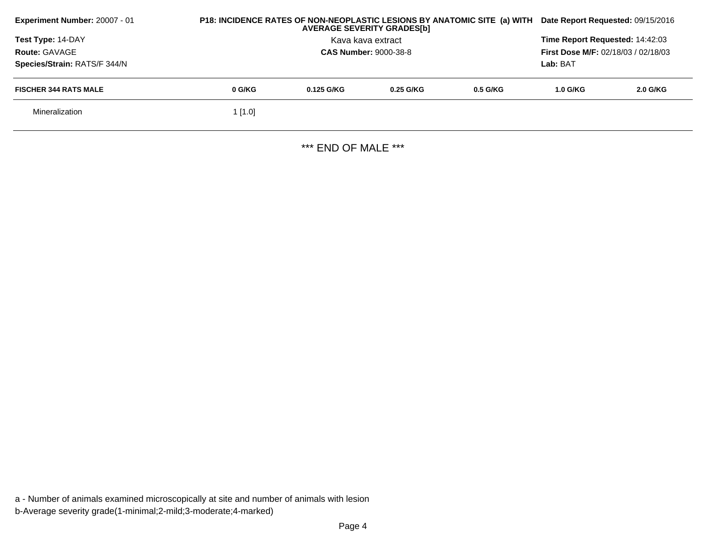| Experiment Number: 20007 - 01 | P18: INCIDENCE RATES OF NON-NEOPLASTIC LESIONS BY ANATOMIC SITE (a) WITH<br><b>AVERAGE SEVERITY GRADES[b]</b> |                                                                               |             |            | Date Report Requested: 09/15/2016 |            |
|-------------------------------|---------------------------------------------------------------------------------------------------------------|-------------------------------------------------------------------------------|-------------|------------|-----------------------------------|------------|
| <b>Test Type: 14-DAY</b>      |                                                                                                               | Time Report Requested: 14:42:03<br><b>First Dose M/F: 02/18/03 / 02/18/03</b> |             |            |                                   |            |
| <b>Route: GAVAGE</b>          |                                                                                                               | <b>CAS Number: 9000-38-8</b>                                                  |             |            |                                   |            |
| Species/Strain: RATS/F 344/N  |                                                                                                               | Lab: BAT                                                                      |             |            |                                   |            |
| <b>FISCHER 344 RATS MALE</b>  | 0 G/KG                                                                                                        | 0.125 G/KG                                                                    | $0.25$ G/KG | $0.5$ G/KG | $1.0$ G/KG                        | $2.0$ G/KG |
| Mineralization                | $1$ [1.0]                                                                                                     |                                                                               |             |            |                                   |            |
|                               |                                                                                                               |                                                                               |             |            |                                   |            |

\*\*\* END OF MALE \*\*\*

a - Number of animals examined microscopically at site and number of animals with lesionb-Average severity grade(1-minimal;2-mild;3-moderate;4-marked)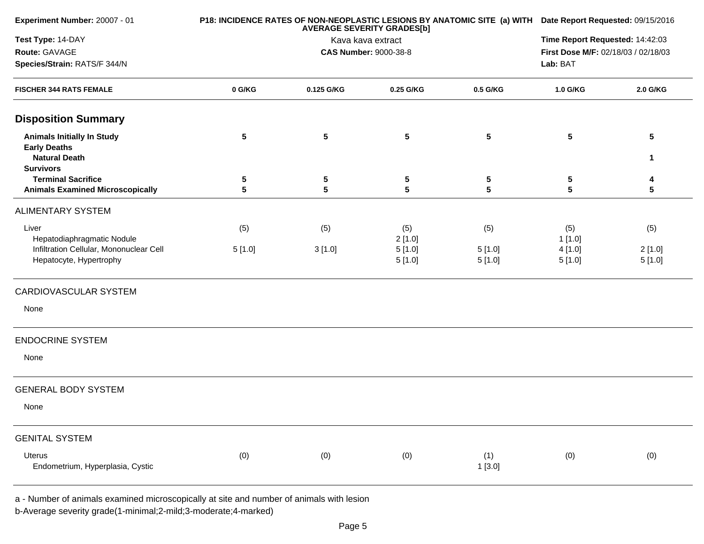| Experiment Number: 20007 - 01                                                    |            | P18: INCIDENCE RATES OF NON-NEOPLASTIC LESIONS BY ANATOMIC SITE (a) WITH Date Report Requested: 09/15/2016 |                              |                  |                                     |                      |
|----------------------------------------------------------------------------------|------------|------------------------------------------------------------------------------------------------------------|------------------------------|------------------|-------------------------------------|----------------------|
| Test Type: 14-DAY                                                                |            | <b>AVERAGE SEVERITY GRADES[b]</b><br>Kava kava extract                                                     |                              |                  |                                     |                      |
| Route: GAVAGE                                                                    |            |                                                                                                            | <b>CAS Number: 9000-38-8</b> |                  | First Dose M/F: 02/18/03 / 02/18/03 |                      |
| Species/Strain: RATS/F 344/N                                                     |            |                                                                                                            |                              |                  | Lab: BAT                            |                      |
| <b>FISCHER 344 RATS FEMALE</b>                                                   | 0 G/KG     | 0.125 G/KG                                                                                                 | 0.25 G/KG                    | 0.5 G/KG         | 1.0 G/KG                            | 2.0 G/KG             |
| <b>Disposition Summary</b>                                                       |            |                                                                                                            |                              |                  |                                     |                      |
| <b>Animals Initially In Study</b><br><b>Early Deaths</b><br><b>Natural Death</b> | $\sqrt{5}$ | $\overline{\mathbf{5}}$                                                                                    | $5\phantom{.0}$              | $5\phantom{.0}$  | ${\bf 5}$                           | $5\phantom{.0}$<br>1 |
| <b>Survivors</b>                                                                 |            |                                                                                                            |                              |                  |                                     |                      |
| <b>Terminal Sacrifice</b>                                                        | 5          | $\overline{\mathbf{5}}$                                                                                    | 5                            | 5                | 5                                   | 4                    |
| <b>Animals Examined Microscopically</b>                                          | 5          | $5\phantom{.0}$                                                                                            | 5                            | 5                | 5                                   | 5                    |
| <b>ALIMENTARY SYSTEM</b>                                                         |            |                                                                                                            |                              |                  |                                     |                      |
| Liver<br>Hepatodiaphragmatic Nodule                                              | (5)        | (5)                                                                                                        | (5)<br>2[1.0]                | (5)              | (5)<br>1[1.0]                       | (5)                  |
| Infiltration Cellular, Mononuclear Cell<br>Hepatocyte, Hypertrophy               | 5[1.0]     | 3[1.0]                                                                                                     | 5[1.0]<br>5[1.0]             | 5[1.0]<br>5[1.0] | 4[1.0]<br>5[1.0]                    | 2[1.0]<br>5[1.0]     |
| CARDIOVASCULAR SYSTEM                                                            |            |                                                                                                            |                              |                  |                                     |                      |
| None                                                                             |            |                                                                                                            |                              |                  |                                     |                      |
| <b>ENDOCRINE SYSTEM</b>                                                          |            |                                                                                                            |                              |                  |                                     |                      |
| None                                                                             |            |                                                                                                            |                              |                  |                                     |                      |
| <b>GENERAL BODY SYSTEM</b>                                                       |            |                                                                                                            |                              |                  |                                     |                      |
| None                                                                             |            |                                                                                                            |                              |                  |                                     |                      |
| <b>GENITAL SYSTEM</b>                                                            |            |                                                                                                            |                              |                  |                                     |                      |
| Uterus                                                                           | (0)        | (0)                                                                                                        | (0)                          | (1)              | (0)                                 | (0)                  |
| Endometrium, Hyperplasia, Cystic                                                 |            |                                                                                                            |                              | 1[3.0]           |                                     |                      |
|                                                                                  |            |                                                                                                            |                              |                  |                                     |                      |

a - Number of animals examined microscopically at site and number of animals with lesion

b-Average severity grade(1-minimal;2-mild;3-moderate;4-marked)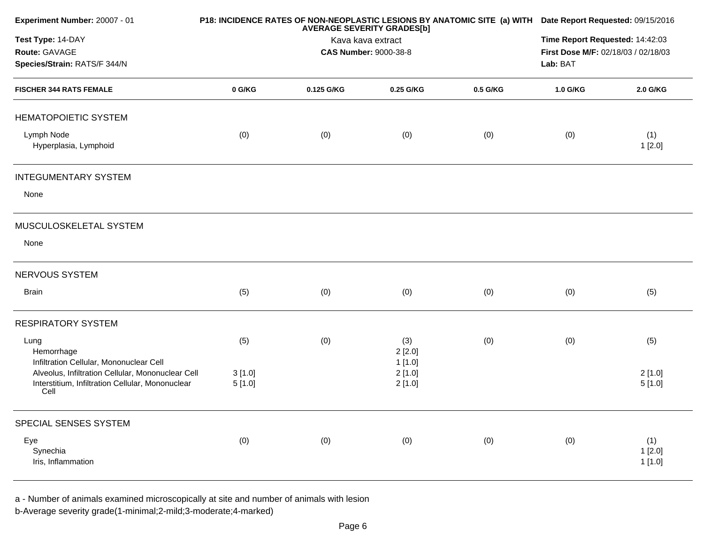| Experiment Number: 20007 - 01                                                                                                                            |                  | <b>AVERAGE SEVERITY GRADES[b]</b>                 | P18: INCIDENCE RATES OF NON-NEOPLASTIC LESIONS BY ANATOMIC SITE (a) WITH Date Report Requested: 09/15/2016 |          |          |                         |
|----------------------------------------------------------------------------------------------------------------------------------------------------------|------------------|---------------------------------------------------|------------------------------------------------------------------------------------------------------------|----------|----------|-------------------------|
| Test Type: 14-DAY<br>Route: GAVAGE<br>Species/Strain: RATS/F 344/N                                                                                       |                  | Kava kava extract<br><b>CAS Number: 9000-38-8</b> | Time Report Requested: 14:42:03<br>First Dose M/F: 02/18/03 / 02/18/03<br>Lab: BAT                         |          |          |                         |
| <b>FISCHER 344 RATS FEMALE</b>                                                                                                                           | 0 G/KG           | 0.125 G/KG                                        | 0.25 G/KG                                                                                                  | 0.5 G/KG | 1.0 G/KG | 2.0 G/KG                |
| <b>HEMATOPOIETIC SYSTEM</b>                                                                                                                              |                  |                                                   |                                                                                                            |          |          |                         |
| Lymph Node<br>Hyperplasia, Lymphoid                                                                                                                      | (0)              | (0)                                               | (0)                                                                                                        | (0)      | (0)      | (1)<br>1[2.0]           |
| <b>INTEGUMENTARY SYSTEM</b>                                                                                                                              |                  |                                                   |                                                                                                            |          |          |                         |
| None                                                                                                                                                     |                  |                                                   |                                                                                                            |          |          |                         |
| MUSCULOSKELETAL SYSTEM                                                                                                                                   |                  |                                                   |                                                                                                            |          |          |                         |
| None                                                                                                                                                     |                  |                                                   |                                                                                                            |          |          |                         |
| NERVOUS SYSTEM                                                                                                                                           |                  |                                                   |                                                                                                            |          |          |                         |
| Brain                                                                                                                                                    | (5)              | (0)                                               | (0)                                                                                                        | (0)      | (0)      | (5)                     |
| <b>RESPIRATORY SYSTEM</b>                                                                                                                                |                  |                                                   |                                                                                                            |          |          |                         |
| Lung<br>Hemorrhage                                                                                                                                       | (5)              | (0)                                               | (3)<br>2[2.0]                                                                                              | (0)      | (0)      | (5)                     |
| Infiltration Cellular, Mononuclear Cell<br>Alveolus, Infiltration Cellular, Mononuclear Cell<br>Interstitium, Infiltration Cellular, Mononuclear<br>Cell | 3[1.0]<br>5[1.0] |                                                   | 1[1.0]<br>2[1.0]<br>2[1.0]                                                                                 |          |          | 2[1.0]<br>5[1.0]        |
| SPECIAL SENSES SYSTEM                                                                                                                                    |                  |                                                   |                                                                                                            |          |          |                         |
| Eye<br>Synechia<br>Iris, Inflammation                                                                                                                    | (0)              | (0)                                               | (0)                                                                                                        | (0)      | (0)      | (1)<br>1[2.0]<br>1[1.0] |

a - Number of animals examined microscopically at site and number of animals with lesion

b-Average severity grade(1-minimal;2-mild;3-moderate;4-marked)